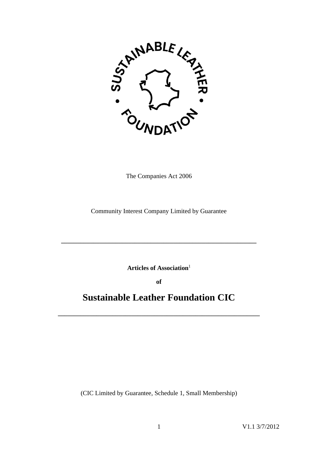

The Companies Act 2006

Community Interest Company Limited by Guarantee

**Articles of Association**<sup>1</sup>

**\_\_\_\_\_\_\_\_\_\_\_\_\_\_\_\_\_\_\_\_\_\_\_\_\_\_\_\_\_\_\_\_\_\_\_\_\_\_\_\_\_\_\_\_\_\_\_\_\_\_\_\_\_\_\_\_\_\_\_\_\_**

**of**

# **Sustainable Leather Foundation CIC**

**\_\_\_\_\_\_\_\_\_\_\_\_\_\_\_\_\_\_\_\_\_\_\_\_\_\_\_\_\_\_\_\_\_\_\_\_\_\_\_\_\_\_\_\_\_\_\_\_\_\_\_\_\_\_\_\_\_\_\_\_\_\_\_**

(CIC Limited by Guarantee, Schedule 1, Small Membership)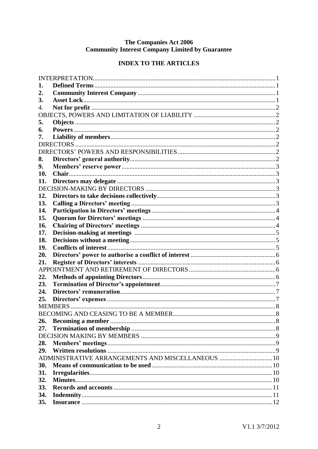# The Companies Act 2006<br>Community Interest Company Limited by Guarantee

# **INDEX TO THE ARTICLES**

| 1.  |                                                   |  |  |  |  |
|-----|---------------------------------------------------|--|--|--|--|
| 2.  |                                                   |  |  |  |  |
| 3.  |                                                   |  |  |  |  |
| 4.  |                                                   |  |  |  |  |
|     |                                                   |  |  |  |  |
| 5.  |                                                   |  |  |  |  |
| 6.  |                                                   |  |  |  |  |
| 7.  |                                                   |  |  |  |  |
|     |                                                   |  |  |  |  |
|     |                                                   |  |  |  |  |
| 8.  |                                                   |  |  |  |  |
| 9.  |                                                   |  |  |  |  |
| 10. |                                                   |  |  |  |  |
| 11. |                                                   |  |  |  |  |
|     |                                                   |  |  |  |  |
| 12. |                                                   |  |  |  |  |
| 13. |                                                   |  |  |  |  |
| 14. |                                                   |  |  |  |  |
| 15. |                                                   |  |  |  |  |
| 16. |                                                   |  |  |  |  |
| 17. |                                                   |  |  |  |  |
| 18. |                                                   |  |  |  |  |
| 19. |                                                   |  |  |  |  |
| 20. |                                                   |  |  |  |  |
| 21. |                                                   |  |  |  |  |
|     |                                                   |  |  |  |  |
| 22. |                                                   |  |  |  |  |
| 23. |                                                   |  |  |  |  |
| 24. |                                                   |  |  |  |  |
| 25. |                                                   |  |  |  |  |
|     |                                                   |  |  |  |  |
|     |                                                   |  |  |  |  |
| 26. |                                                   |  |  |  |  |
| 27. |                                                   |  |  |  |  |
|     |                                                   |  |  |  |  |
| 28. |                                                   |  |  |  |  |
| 29. |                                                   |  |  |  |  |
|     | ADMINISTRATIVE ARRANGEMENTS AND MISCELLANEOUS  10 |  |  |  |  |
| 30. |                                                   |  |  |  |  |
| 31. |                                                   |  |  |  |  |
| 32. |                                                   |  |  |  |  |
| 33. |                                                   |  |  |  |  |
| 34. |                                                   |  |  |  |  |
| 35. |                                                   |  |  |  |  |
|     |                                                   |  |  |  |  |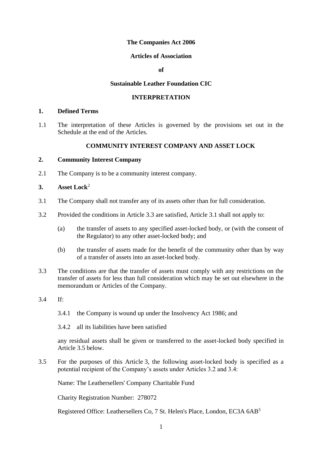# **The Companies Act 2006**

# **Articles of Association**

 $\mathbf{f}$ 

#### **Sustainable Leather Foundation CIC**

#### **INTERPRETATION**

#### <span id="page-3-1"></span><span id="page-3-0"></span>**1. Defined Terms**

1.1 The interpretation of these Articles is governed by the provisions set out in the Schedule at the end of the Articles.

# **COMMUNITY INTEREST COMPANY AND ASSET LOCK**

# <span id="page-3-2"></span>**2. Community Interest Company**

2.1 The Company is to be a community interest company.

# <span id="page-3-3"></span>**3. Asset Lock**<sup>2</sup>

- 3.1 The Company shall not transfer any of its assets other than for full consideration.
- 3.2 Provided the conditions in Article 3.3 are satisfied, Article 3.1 shall not apply to:
	- (a) the transfer of assets to any specified asset-locked body, or (with the consent of the Regulator) to any other asset-locked body; and
	- (b) the transfer of assets made for the benefit of the community other than by way of a transfer of assets into an asset-locked body.
- 3.3 The conditions are that the transfer of assets must comply with any restrictions on the transfer of assets for less than full consideration which may be set out elsewhere in the memorandum or Articles of the Company.
- 3.4 If:
	- 3.4.1 the Company is wound up under the Insolvency Act 1986; and
	- 3.4.2 all its liabilities have been satisfied

any residual assets shall be given or transferred to the asset-locked body specified in Article 3.5 below.

3.5 For the purposes of this Article 3, the following asset-locked body is specified as a potential recipient of the Company's assets under Articles 3.2 and 3.4:

Name: The Leathersellers' Company Charitable Fund

Charity Registration Number: 278072

Registered Office: Leathersellers Co, 7 St. Helen's Place, London, EC3A 6AB<sup>3</sup>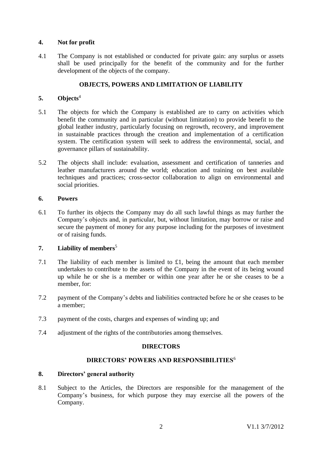# <span id="page-4-0"></span>**4. Not for profit**

4.1 The Company is not established or conducted for private gain: any surplus or assets shall be used principally for the benefit of the community and for the further development of the objects of the company.

# **OBJECTS, POWERS AND LIMITATION OF LIABILITY**

# <span id="page-4-2"></span><span id="page-4-1"></span>**5. Objects**<sup>4</sup>

- 5.1 The objects for which the Company is established are to carry on activities which benefit the community and in particular (without limitation) to provide benefit to the global leather industry, particularly focusing on regrowth, recovery, and improvement in sustainable practices through the creation and implementation of a certification system. The certification system will seek to address the environmental, social, and governance pillars of sustainability.
- 5.2 The objects shall include: evaluation, assessment and certification of tanneries and leather manufacturers around the world; education and training on best available techniques and practices; cross-sector collaboration to align on environmental and social priorities.

# <span id="page-4-3"></span>**6. Powers**

6.1 To further its objects the Company may do all such lawful things as may further the Company's objects and, in particular, but, without limitation, may borrow or raise and secure the payment of money for any purpose including for the purposes of investment or of raising funds.

# <span id="page-4-4"></span>**7. Liability of members**<sup>5</sup>

- 7.1 The liability of each member is limited to £1, being the amount that each member undertakes to contribute to the assets of the Company in the event of its being wound up while he or she is a member or within one year after he or she ceases to be a member, for:
- 7.2 payment of the Company's debts and liabilities contracted before he or she ceases to be a member;
- 7.3 payment of the costs, charges and expenses of winding up; and
- <span id="page-4-5"></span>7.4 adjustment of the rights of the contributories among themselves.

# **DIRECTORS**

# **DIRECTORS' POWERS AND RESPONSIBILITIES**<sup>6</sup>

# <span id="page-4-7"></span><span id="page-4-6"></span>**8. Directors' general authority**

8.1 Subject to the Articles, the Directors are responsible for the management of the Company's business, for which purpose they may exercise all the powers of the Company.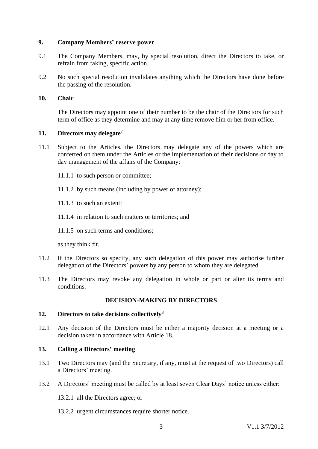# <span id="page-5-0"></span>**9. Company Members' reserve power**

- 9.1 The Company Members, may, by special resolution, direct the Directors to take, or refrain from taking, specific action.
- 9.2 No such special resolution invalidates anything which the Directors have done before the passing of the resolution.

# <span id="page-5-1"></span>**10. Chair**

The Directors may appoint one of their number to be the chair of the Directors for such term of office as they determine and may at any time remove him or her from office.

# <span id="page-5-2"></span>**11. Directors may delegate**<sup>7</sup>

- 11.1 Subject to the Articles, the Directors may delegate any of the powers which are conferred on them under the Articles or the implementation of their decisions or day to day management of the affairs of the Company:
	- 11.1.1 to such person or committee;
	- 11.1.2 by such means (including by power of attorney);
	- 11.1.3 to such an extent;
	- 11.1.4 in relation to such matters or territories; and
	- 11.1.5 on such terms and conditions;

as they think fit.

- 11.2 If the Directors so specify, any such delegation of this power may authorise further delegation of the Directors' powers by any person to whom they are delegated.
- 11.3 The Directors may revoke any delegation in whole or part or alter its terms and conditions.

# **DECISION-MAKING BY DIRECTORS**

# <span id="page-5-4"></span><span id="page-5-3"></span>**12. Directors to take decisions collectively**<sup>8</sup>

12.1 Any decision of the Directors must be either a majority decision at a meeting or a decision taken in accordance with Article [18.](#page-7-1)

# <span id="page-5-5"></span>**13. Calling a Directors' meeting**

- 13.1 Two Directors may (and the Secretary, if any, must at the request of two Directors) call a Directors' meeting.
- 13.2 A Directors' meeting must be called by at least seven Clear Days' notice unless either:

13.2.1 all the Directors agree; or

13.2.2 urgent circumstances require shorter notice.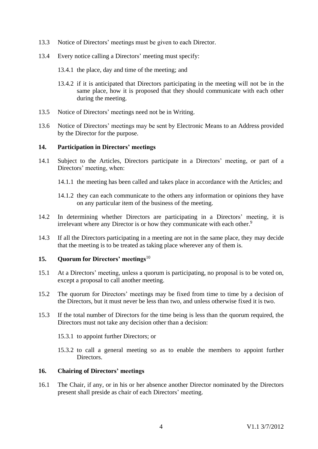- 13.3 Notice of Directors' meetings must be given to each Director.
- 13.4 Every notice calling a Directors' meeting must specify:
	- 13.4.1 the place, day and time of the meeting; and
	- 13.4.2 if it is anticipated that Directors participating in the meeting will not be in the same place, how it is proposed that they should communicate with each other during the meeting.
- 13.5 Notice of Directors' meetings need not be in Writing.
- 13.6 Notice of Directors' meetings may be sent by Electronic Means to an Address provided by the Director for the purpose.

# <span id="page-6-0"></span>**14. Participation in Directors' meetings**

- 14.1 Subject to the Articles, Directors participate in a Directors' meeting, or part of a Directors' meeting, when:
	- 14.1.1 the meeting has been called and takes place in accordance with the Articles; and
	- 14.1.2 they can each communicate to the others any information or opinions they have on any particular item of the business of the meeting.
- 14.2 In determining whether Directors are participating in a Directors' meeting, it is irrelevant where any Director is or how they communicate with each other.<sup>9</sup>
- 14.3 If all the Directors participating in a meeting are not in the same place, they may decide that the meeting is to be treated as taking place wherever any of them is.

# <span id="page-6-1"></span>**15. Quorum for Directors' meetings**<sup>10</sup>

- 15.1 At a Directors' meeting, unless a quorum is participating, no proposal is to be voted on, except a proposal to call another meeting.
- 15.2 The quorum for Directors' meetings may be fixed from time to time by a decision of the Directors, but it must never be less than two, and unless otherwise fixed it is two.
- 15.3 If the total number of Directors for the time being is less than the quorum required, the Directors must not take any decision other than a decision:
	- 15.3.1 to appoint further Directors; or
	- 15.3.2 to call a general meeting so as to enable the members to appoint further Directors.

# <span id="page-6-2"></span>**16. Chairing of Directors' meetings**

16.1 The Chair, if any, or in his or her absence another Director nominated by the Directors present shall preside as chair of each Directors' meeting.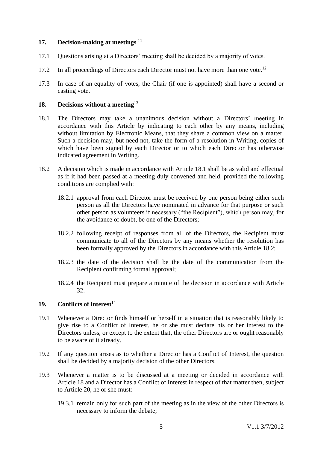# <span id="page-7-0"></span>**17. Decision-making at meetings** <sup>11</sup>

- 17.1 Questions arising at a Directors' meeting shall be decided by a majority of votes.
- 17.2 In all proceedings of Directors each Director must not have more than one vote.<sup>12</sup>
- 17.3 In case of an equality of votes, the Chair (if one is appointed) shall have a second or casting vote.

# <span id="page-7-1"></span>**18. Decisions without a meeting**<sup>13</sup>

- <span id="page-7-3"></span>18.1 The Directors may take a unanimous decision without a Directors' meeting in accordance with this Article by indicating to each other by any means, including without limitation by Electronic Means, that they share a common view on a matter. Such a decision may, but need not, take the form of a resolution in Writing, copies of which have been signed by each Director or to which each Director has otherwise indicated agreement in Writing.
- <span id="page-7-4"></span>18.2 A decision which is made in accordance with Article [18.1](#page-7-3) shall be as valid and effectual as if it had been passed at a meeting duly convened and held, provided the following conditions are complied with:
	- 18.2.1 approval from each Director must be received by one person being either such person as all the Directors have nominated in advance for that purpose or such other person as volunteers if necessary ("the Recipient"), which person may, for the avoidance of doubt, be one of the Directors;
	- 18.2.2 following receipt of responses from all of the Directors, the Recipient must communicate to all of the Directors by any means whether the resolution has been formally approved by the Directors in accordance with this Article [18.2;](#page-7-4)
	- 18.2.3 the date of the decision shall be the date of the communication from the Recipient confirming formal approval;
	- 18.2.4 the Recipient must prepare a minute of the decision in accordance with Article [32.](#page-12-3)

# <span id="page-7-2"></span>**19. Conflicts of interest**<sup>14</sup>

- 19.1 Whenever a Director finds himself or herself in a situation that is reasonably likely to give rise to a Conflict of Interest, he or she must declare his or her interest to the Directors unless, or except to the extent that, the other Directors are or ought reasonably to be aware of it already.
- 19.2 If any question arises as to whether a Director has a Conflict of Interest, the question shall be decided by a majority decision of the other Directors.
- 19.3 Whenever a matter is to be discussed at a meeting or decided in accordance with Article 18 and a Director has a Conflict of Interest in respect of that matter then, subject to Article 20, he or she must:
	- 19.3.1 remain only for such part of the meeting as in the view of the other Directors is necessary to inform the debate;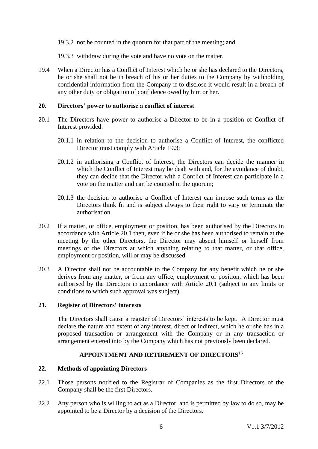19.3.2 not be counted in the quorum for that part of the meeting; and

19.3.3 withdraw during the vote and have no vote on the matter.

19.4 When a Director has a Conflict of Interest which he or she has declared to the Directors, he or she shall not be in breach of his or her duties to the Company by withholding confidential information from the Company if to disclose it would result in a breach of any other duty or obligation of confidence owed by him or her.

# <span id="page-8-0"></span>**20. Directors' power to authorise a conflict of interest**

- <span id="page-8-4"></span>20.1 The Directors have power to authorise a Director to be in a position of Conflict of Interest provided:
	- 20.1.1 in relation to the decision to authorise a Conflict of Interest, the conflicted Director must comply with Article 19.3;
	- 20.1.2 in authorising a Conflict of Interest, the Directors can decide the manner in which the Conflict of Interest may be dealt with and, for the avoidance of doubt, they can decide that the Director with a Conflict of Interest can participate in a vote on the matter and can be counted in the quorum;
	- 20.1.3 the decision to authorise a Conflict of Interest can impose such terms as the Directors think fit and is subject always to their right to vary or terminate the authorisation.
- 20.2 If a matter, or office, employment or position, has been authorised by the Directors in accordance with Article [20.1](#page-8-4) then, even if he or she has been authorised to remain at the meeting by the other Directors, the Director may absent himself or herself from meetings of the Directors at which anything relating to that matter, or that office, employment or position, will or may be discussed.
- 20.3 A Director shall not be accountable to the Company for any benefit which he or she derives from any matter, or from any office, employment or position, which has been authorised by the Directors in accordance with Article [20.1](#page-8-4) (subject to any limits or conditions to which such approval was subject).

# <span id="page-8-1"></span>**21. Register of Directors' interests**

The Directors shall cause a register of Directors' interests to be kept. A Director must declare the nature and extent of any interest, direct or indirect, which he or she has in a proposed transaction or arrangement with the Company or in any transaction or arrangement entered into by the Company which has not previously been declared.

# **APPOINTMENT AND RETIREMENT OF DIRECTORS**<sup>15</sup>

# <span id="page-8-3"></span><span id="page-8-2"></span>**22. Methods of appointing Directors**

- 22.1 Those persons notified to the Registrar of Companies as the first Directors of the Company shall be the first Directors.
- 22.2 Any person who is willing to act as a Director, and is permitted by law to do so, may be appointed to be a Director by a decision of the Directors.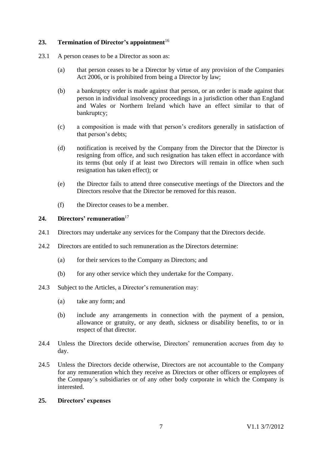# <span id="page-9-0"></span>**23. Termination of Director's appointment**<sup>16</sup>

- 23.1 A person ceases to be a Director as soon as:
	- (a) that person ceases to be a Director by virtue of any provision of the Companies Act 2006, or is prohibited from being a Director by law;
	- (b) a bankruptcy order is made against that person, or an order is made against that person in individual insolvency proceedings in a jurisdiction other than England and Wales or Northern Ireland which have an effect similar to that of bankruptcy;
	- (c) a composition is made with that person's creditors generally in satisfaction of that person's debts;
	- (d) notification is received by the Company from the Director that the Director is resigning from office, and such resignation has taken effect in accordance with its terms (but only if at least two Directors will remain in office when such resignation has taken effect); or
	- (e) the Director fails to attend three consecutive meetings of the Directors and the Directors resolve that the Director be removed for this reason.
	- (f) the Director ceases to be a member.

# <span id="page-9-1"></span>24. **Directors' remuneration**<sup>17</sup>

- 24.1 Directors may undertake any services for the Company that the Directors decide.
- 24.2 Directors are entitled to such remuneration as the Directors determine:
	- (a) for their services to the Company as Directors; and
	- (b) for any other service which they undertake for the Company.
- 24.3 Subject to the Articles, a Director's remuneration may:
	- (a) take any form; and
	- (b) include any arrangements in connection with the payment of a pension, allowance or gratuity, or any death, sickness or disability benefits, to or in respect of that director.
- 24.4 Unless the Directors decide otherwise, Directors' remuneration accrues from day to day.
- 24.5 Unless the Directors decide otherwise, Directors are not accountable to the Company for any remuneration which they receive as Directors or other officers or employees of the Company's subsidiaries or of any other body corporate in which the Company is interested.

# <span id="page-9-2"></span>**25. Directors' expenses**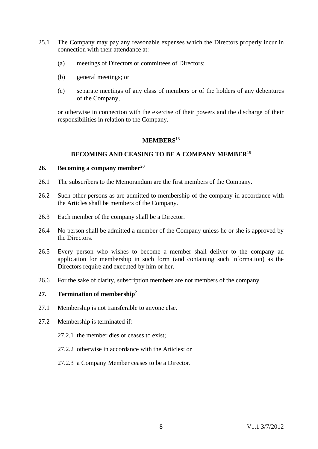- 25.1 The Company may pay any reasonable expenses which the Directors properly incur in connection with their attendance at:
	- (a) meetings of Directors or committees of Directors;
	- (b) general meetings; or
	- (c) separate meetings of any class of members or of the holders of any debentures of the Company,

or otherwise in connection with the exercise of their powers and the discharge of their responsibilities in relation to the Company.

# **MEMBERS**<sup>18</sup>

#### **BECOMING AND CEASING TO BE A COMPANY MEMBER**<sup>19</sup>

#### <span id="page-10-2"></span><span id="page-10-1"></span><span id="page-10-0"></span>**26. Becoming a company member**<sup>20</sup>

- 26.1 The subscribers to the Memorandum are the first members of the Company.
- 26.2 Such other persons as are admitted to membership of the company in accordance with the Articles shall be members of the Company.
- 26.3 Each member of the company shall be a Director.
- 26.4 No person shall be admitted a member of the Company unless he or she is approved by the Directors.
- 26.5 Every person who wishes to become a member shall deliver to the company an application for membership in such form (and containing such information) as the Directors require and executed by him or her.
- 26.6 For the sake of clarity, subscription members are not members of the company.

# <span id="page-10-3"></span>**27. Termination of membership**<sup>21</sup>

- 27.1 Membership is not transferable to anyone else.
- 27.2 Membership is terminated if:
	- 27.2.1 the member dies or ceases to exist;
	- 27.2.2 otherwise in accordance with the Articles; or
	- 27.2.3 a Company Member ceases to be a Director.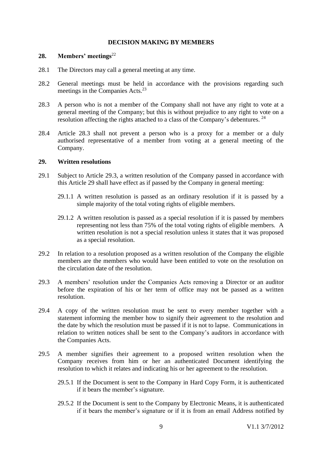# **DECISION MAKING BY MEMBERS**

# <span id="page-11-1"></span><span id="page-11-0"></span>**28. Members' meetings**<sup>22</sup>

- 28.1 The Directors may call a general meeting at any time.
- 28.2 General meetings must be held in accordance with the provisions regarding such meetings in the Companies Acts. 23
- 28.3 A person who is not a member of the Company shall not have any right to vote at a general meeting of the Company; but this is without prejudice to any right to vote on a resolution affecting the rights attached to a class of the Company's debentures.  $24$
- 28.4 Article 28.3 shall not prevent a person who is a proxy for a member or a duly authorised representative of a member from voting at a general meeting of the Company.

#### <span id="page-11-2"></span>**29. Written resolutions**

- 29.1 Subject to Article [29.3,](#page-11-3) a written resolution of the Company passed in accordance with this Article 29 shall have effect as if passed by the Company in general meeting:
	- 29.1.1 A written resolution is passed as an ordinary resolution if it is passed by a simple majority of the total voting rights of eligible members.
	- 29.1.2 A written resolution is passed as a special resolution if it is passed by members representing not less than 75% of the total voting rights of eligible members. A written resolution is not a special resolution unless it states that it was proposed as a special resolution.
- 29.2 In relation to a resolution proposed as a written resolution of the Company the eligible members are the members who would have been entitled to vote on the resolution on the circulation date of the resolution.
- <span id="page-11-3"></span>29.3 A members' resolution under the Companies Acts removing a Director or an auditor before the expiration of his or her term of office may not be passed as a written resolution.
- 29.4 A copy of the written resolution must be sent to every member together with a statement informing the member how to signify their agreement to the resolution and the date by which the resolution must be passed if it is not to lapse. Communications in relation to written notices shall be sent to the Company's auditors in accordance with the Companies Acts.
- 29.5 A member signifies their agreement to a proposed written resolution when the Company receives from him or her an authenticated Document identifying the resolution to which it relates and indicating his or her agreement to the resolution.
	- 29.5.1 If the Document is sent to the Company in Hard Copy Form, it is authenticated if it bears the member's signature.
	- 29.5.2 If the Document is sent to the Company by Electronic Means, it is authenticated if it bears the member's signature or if it is from an email Address notified by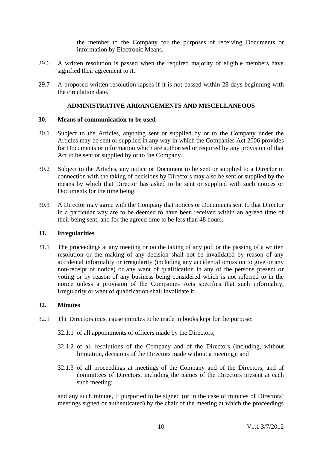the member to the Company for the purposes of receiving Documents or information by Electronic Means.

- 29.6 A written resolution is passed when the required majority of eligible members have signified their agreement to it.
- 29.7 A proposed written resolution lapses if it is not passed within 28 days beginning with the circulation date.

# **ADMINISTRATIVE ARRANGEMENTS AND MISCELLANEOUS**

#### <span id="page-12-1"></span><span id="page-12-0"></span>**30. Means of communication to be used**

- 30.1 Subject to the Articles, anything sent or supplied by or to the Company under the Articles may be sent or supplied in any way in which the Companies Act 2006 provides for Documents or information which are authorised or required by any provision of that Act to be sent or supplied by or to the Company.
- 30.2 Subject to the Articles, any notice or Document to be sent or supplied to a Director in connection with the taking of decisions by Directors may also be sent or supplied by the means by which that Director has asked to be sent or supplied with such notices or Documents for the time being.
- 30.3 A Director may agree with the Company that notices or Documents sent to that Director in a particular way are to be deemed to have been received within an agreed time of their being sent, and for the agreed time to be less than 48 hours.

# <span id="page-12-2"></span>**31. Irregularities**

31.1 The proceedings at any meeting or on the taking of any poll or the passing of a written resolution or the making of any decision shall not be invalidated by reason of any accidental informality or irregularity (including any accidental omission to give or any non-receipt of notice) or any want of qualification in any of the persons present or voting or by reason of any business being considered which is not referred to in the notice unless a provision of the Companies Acts specifies that such informality, irregularity or want of qualification shall invalidate it.

# <span id="page-12-3"></span>**32. Minutes**

- 32.1 The Directors must cause minutes to be made in books kept for the purpose:
	- 32.1.1 of all appointments of officers made by the Directors;
	- 32.1.2 of all resolutions of the Company and of the Directors (including, without limitation, decisions of the Directors made without a meeting); and
	- 32.1.3 of all proceedings at meetings of the Company and of the Directors, and of committees of Directors, including the names of the Directors present at each such meeting;

and any such minute, if purported to be signed (or in the case of minutes of Directors' meetings signed or authenticated) by the chair of the meeting at which the proceedings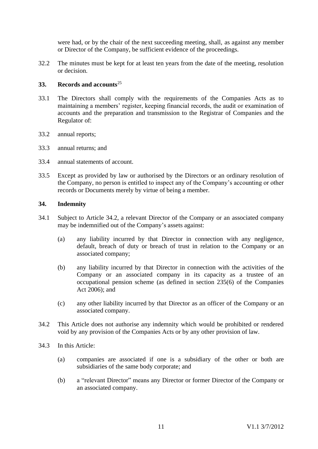were had, or by the chair of the next succeeding meeting, shall, as against any member or Director of the Company, be sufficient evidence of the proceedings.

32.2 The minutes must be kept for at least ten years from the date of the meeting, resolution or decision.

# <span id="page-13-0"></span>**33. Records and accounts**<sup>25</sup>

- 33.1 The Directors shall comply with the requirements of the Companies Acts as to maintaining a members' register, keeping financial records, the audit or examination of accounts and the preparation and transmission to the Registrar of Companies and the Regulator of:
- 33.2 annual reports;
- 33.3 annual returns; and
- 33.4 annual statements of account.
- 33.5 Except as provided by law or authorised by the Directors or an ordinary resolution of the Company, no person is entitled to inspect any of the Company's accounting or other records or Documents merely by virtue of being a member.

# <span id="page-13-1"></span>**34. Indemnity**

- 34.1 Subject to Article 34.2, a relevant Director of the Company or an associated company may be indemnified out of the Company's assets against:
	- (a) any liability incurred by that Director in connection with any negligence, default, breach of duty or breach of trust in relation to the Company or an associated company;
	- (b) any liability incurred by that Director in connection with the activities of the Company or an associated company in its capacity as a trustee of an occupational pension scheme (as defined in section 235(6) of the Companies Act 2006); and
	- (c) any other liability incurred by that Director as an officer of the Company or an associated company.
- 34.2 This Article does not authorise any indemnity which would be prohibited or rendered void by any provision of the Companies Acts or by any other provision of law.
- 34.3 In this Article:
	- (a) companies are associated if one is a subsidiary of the other or both are subsidiaries of the same body corporate; and
	- (b) a "relevant Director" means any Director or former Director of the Company or an associated company.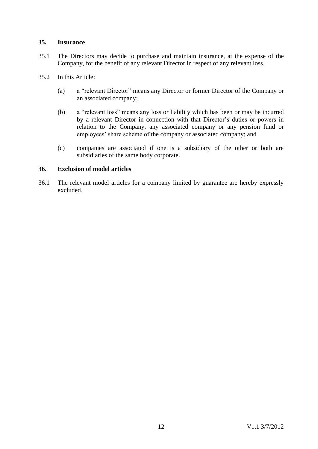# <span id="page-14-0"></span>**35. Insurance**

- 35.1 The Directors may decide to purchase and maintain insurance, at the expense of the Company, for the benefit of any relevant Director in respect of any relevant loss.
- 35.2 In this Article:
	- (a) a "relevant Director" means any Director or former Director of the Company or an associated company;
	- (b) a "relevant loss" means any loss or liability which has been or may be incurred by a relevant Director in connection with that Director's duties or powers in relation to the Company, any associated company or any pension fund or employees' share scheme of the company or associated company; and
	- (c) companies are associated if one is a subsidiary of the other or both are subsidiaries of the same body corporate.

# <span id="page-14-1"></span>**36. Exclusion of model articles**

36.1 The relevant model articles for a company limited by guarantee are hereby expressly excluded.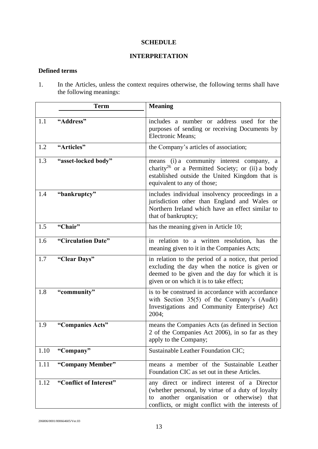# **SCHEDULE**

# **INTERPRETATION**

# <span id="page-15-0"></span>**Defined terms**

1. In the Articles, unless the context requires otherwise, the following terms shall have the following meanings:

|      | <b>Term</b>            | <b>Meaning</b>                                                                                                                                                                                            |
|------|------------------------|-----------------------------------------------------------------------------------------------------------------------------------------------------------------------------------------------------------|
| 1.1  | "Address"              | includes a number or address used for the<br>purposes of sending or receiving Documents by<br>Electronic Means;                                                                                           |
| 1.2  | "Articles"             | the Company's articles of association;                                                                                                                                                                    |
| 1.3  | "asset-locked body"    | means (i) a community interest company, a<br>charity <sup>26</sup> or a Permitted Society; or (ii) a body<br>established outside the United Kingdom that is<br>equivalent to any of those;                |
| 1.4  | "bankruptcy"           | includes individual insolvency proceedings in a<br>jurisdiction other than England and Wales or<br>Northern Ireland which have an effect similar to<br>that of bankruptcy;                                |
| 1.5  | "Chair"                | has the meaning given in Article 10;                                                                                                                                                                      |
| 1.6  | "Circulation Date"     | in relation to a written resolution, has the<br>meaning given to it in the Companies Acts;                                                                                                                |
| 1.7  | "Clear Days"           | in relation to the period of a notice, that period<br>excluding the day when the notice is given or<br>deemed to be given and the day for which it is<br>given or on which it is to take effect;          |
| 1.8  | "community"            | is to be construed in accordance with accordance<br>with Section $35(5)$ of the Company's (Audit)<br>Investigations and Community Enterprise) Act<br>2004;                                                |
| 1.9  | "Companies Acts"       | means the Companies Acts (as defined in Section<br>2 of the Companies Act 2006), in so far as they<br>apply to the Company;                                                                               |
| 1.10 | "Company"              | Sustainable Leather Foundation CIC;                                                                                                                                                                       |
| 1.11 | "Company Member"       | means a member of the Sustainable Leather<br>Foundation CIC as set out in these Articles.                                                                                                                 |
| 1.12 | "Conflict of Interest" | any direct or indirect interest of a Director<br>(whether personal, by virtue of a duty of loyalty<br>another organisation or otherwise) that<br>to<br>conflicts, or might conflict with the interests of |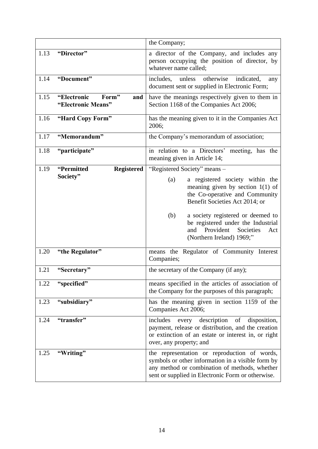|      |                                                   | the Company;                                                                                                                                                                                                                                                                                            |
|------|---------------------------------------------------|---------------------------------------------------------------------------------------------------------------------------------------------------------------------------------------------------------------------------------------------------------------------------------------------------------|
| 1.13 | "Director"                                        | a director of the Company, and includes any<br>person occupying the position of director, by<br>whatever name called;                                                                                                                                                                                   |
| 1.14 | "Document"                                        | unless otherwise<br>includes,<br>indicated,<br>any<br>document sent or supplied in Electronic Form;                                                                                                                                                                                                     |
| 1.15 | "Electronic<br>Form"<br>and<br>"Electronic Means" | have the meanings respectively given to them in<br>Section 1168 of the Companies Act 2006;                                                                                                                                                                                                              |
| 1.16 | "Hard Copy Form"                                  | has the meaning given to it in the Companies Act<br>2006;                                                                                                                                                                                                                                               |
| 1.17 | "Memorandum"                                      | the Company's memorandum of association;                                                                                                                                                                                                                                                                |
| 1.18 | "participate"                                     | in relation to a Directors' meeting, has the<br>meaning given in Article 14;                                                                                                                                                                                                                            |
| 1.19 | "Permitted<br><b>Registered</b>                   | "Registered Society" means -                                                                                                                                                                                                                                                                            |
|      | Society"                                          | a registered society within the<br>(a)<br>meaning given by section $1(1)$ of<br>the Co-operative and Community<br>Benefit Societies Act 2014; or<br>a society registered or deemed to<br>(b)<br>be registered under the Industrial<br>Provident<br>and<br>Societies<br>Act<br>(Northern Ireland) 1969;" |
| 1.20 | "the Regulator"                                   | means the Regulator of Community Interest<br>Companies;                                                                                                                                                                                                                                                 |
| 1.21 | "Secretary"                                       | the secretary of the Company (if any);                                                                                                                                                                                                                                                                  |
| 1.22 | "specified"                                       | means specified in the articles of association of<br>the Company for the purposes of this paragraph;                                                                                                                                                                                                    |
| 1.23 | "subsidiary"                                      | has the meaning given in section 1159 of the<br>Companies Act 2006;                                                                                                                                                                                                                                     |
| 1.24 | "transfer"                                        | every description<br>includes<br>of<br>disposition,<br>payment, release or distribution, and the creation<br>or extinction of an estate or interest in, or right<br>over, any property; and                                                                                                             |
| 1.25 | "Writing"                                         | the representation or reproduction of words,<br>symbols or other information in a visible form by<br>any method or combination of methods, whether<br>sent or supplied in Electronic Form or otherwise.                                                                                                 |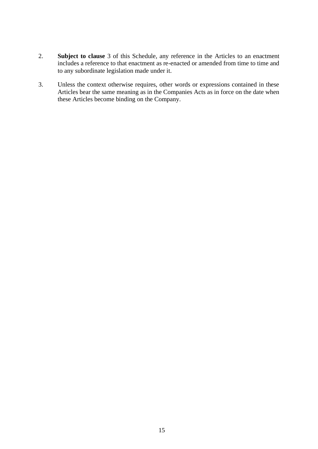- 2. **Subject to clause** [3](#page-17-0) of this Schedule, any reference in the Articles to an enactment includes a reference to that enactment as re-enacted or amended from time to time and to any subordinate legislation made under it.
- <span id="page-17-0"></span>3. Unless the context otherwise requires, other words or expressions contained in these Articles bear the same meaning as in the Companies Acts as in force on the date when these Articles become binding on the Company.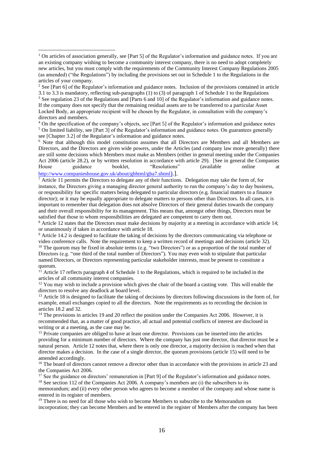<sup>7</sup> Article 11 permits the Directors to delegate any of their functions. Delegation may take the form of, for instance, the Directors giving a managing director general authority to run the company's day to day business, or responsibility for specific matters being delegated to particular directors (e.g. financial matters to a finance director); or it may be equally appropriate to delegate matters to persons other than Directors. In all cases, it is important to remember that delegation does not absolve Directors of their general duties towards the company and their overall responsibility for its management. This means that, amongst other things, Directors must be satisfied that those to whom responsibilities are delegated are competent to carry them out.

<sup>8</sup> Article 12 states that the Directors must make decisions by majority at a meeting in accordance with article 14; or unanimously if taken in accordance with article 18.

<sup>9</sup> Article 14.2 is designed to facilitate the taking of decisions by the directors communicating via telephone or video conference calls. Note the requirement to keep a written record of meetings and decisions (article 32). <sup>10</sup> The quorum may be fixed in absolute terms (e.g. "two Directors") or as a proportion of the total number of Directors (e.g. "one third of the total number of Directors"). You may even wish to stipulate that particular named Directors, or Directors representing particular stakeholder interests, must be present to constitute a quorum.

 $11$  Article 17 reflects paragraph 4 of Schedule 1 to the Regulations, which is required to be included in the articles of all community interest companies.

 $12$  You may wish to include a provision which gives the chair of the board a casting vote. This will enable the directors to resolve any deadlock at board level.

<sup>13</sup> Article 18 is designed to facilitate the taking of decisions by directors following discussions in the form of, for example, email exchanges copied to all the directors. Note the requirements as to recording the decision in articles 18.2 and 32.

<sup>14</sup> The provisions in articles 19 and 20 reflect the position under the Companies Act 2006. However, it is recommended that, as a matter of good practice, all actual and potential conflicts of interest are disclosed in writing or at a meeting, as the case may be.

<sup>15</sup> Private companies are obliged to have at least one director. Provisions can be inserted into the articles providing for a minimum number of directors. Where the company has just one director, that director must be a natural person. Article 12 notes that, where there is only one director, a majority decision is reached when that director makes a decision. In the case of a single director, the quorum provisions (article 15) will need to be amended accordingly.

<sup>16</sup> The board of directors cannot remove a director other than in accordance with the provisions in article 23 and the Companies Act 2006.

<sup>17</sup> See the guidance on directors' remuneration in [Part 9] of the Regulator's information and guidance notes. <sup>18</sup> See section 112 of the Companies Act 2006. A company's members are (i) the subscribers to its

memorandum; and (ii) every other person who agrees to become a member of the company and whose name is entered in its register of members.

 $<sup>19</sup>$  There is no need for all those who wish to become Members to subscribe to the Memorandum on</sup> incorporation; they can become Members and be entered in the register of Members after the company has been

<sup>&</sup>lt;sup>1</sup> On articles of association generally, see [Part 5] of the Regulator's information and guidance notes. If you are an existing company wishing to become a community interest company, there is no need to adopt completely new articles, but you must comply with the requirements of the Community Interest Company Regulations 2005 (as amended) ("the Regulations") by including the provisions set out in Schedule 1 to the Regulations in the articles of your company.

<sup>&</sup>lt;sup>2</sup> See [Part 6] of the Regulator's information and guidance notes. Inclusion of the provisions contained in article 3.1 to 3.3 is mandatory, reflecting sub-paragraphs (1) to (3) of paragraph 1 of Schedule 1 to the Regulations <sup>3</sup> See regulation 23 of the Regulations and [Parts 6 and 10] of the Regulator's information and guidance notes.

If the company does not specify that the remaining residual assets are to be transferred to a particular Asset Locked Body, an appropriate recipient will be chosen by the Regulator, in consultation with the company's directors and members.

<sup>&</sup>lt;sup>4</sup> On the specification of the company's objects, see [Part 5] of the Regulator's information and guidance notes  $<sup>5</sup>$  On limited liability, see [Part 3] of the Regulator's information and guidance notes. On guarantees generally</sup> see [Chapter 3.2] of the Regulator's information and guidance notes.

<sup>6</sup> Note that although this model constitution assumes that all Directors are Members and all Members are Directors, and the Directors are given wide powers, under the Articles (and company law more generally) there are still some decisions which Members must make as Members (either in general meeting under the Companies Act 2006 (article 28.2), or by written resolution in accordance with article 29). [See in general the Companies House guidance booklet, "Resolutions" (available online at [http://www.companieshouse.gov.uk/about/gbhtml/gba7.shtml](http://www.companieshouse.gov.uk/about/gbhtml/gba7.shtml))[\).](http://www.companieshouse.gov.uk/about/gbhtml/gba7.shtml))].